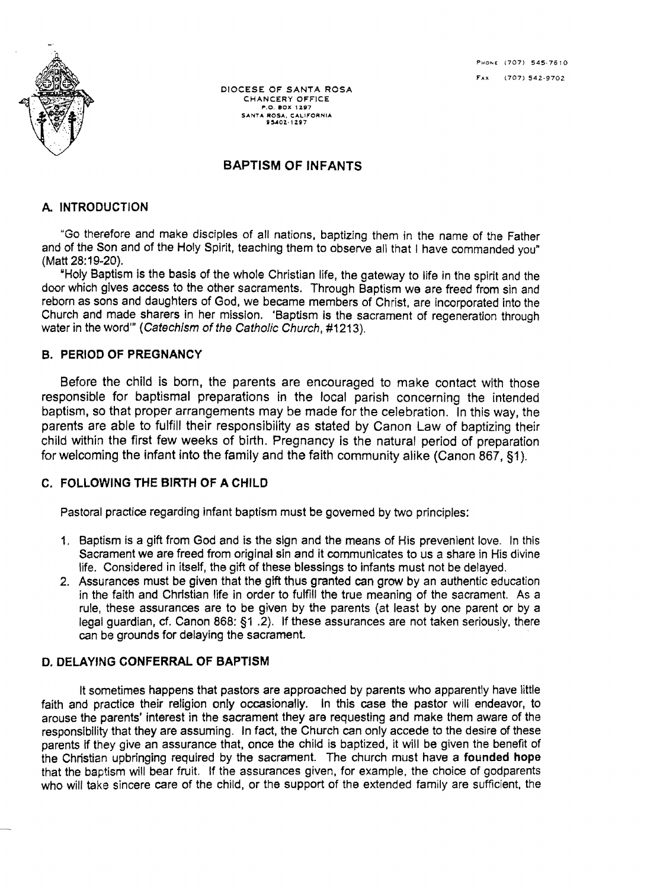

DIOCESE OF SANTA ROSA CHANCERY OFFICE P.O. BOX 1297 SANTA ROSA, CALIFORNIA<br>95402-1297

# BAPTISM OF INFANTS

#### A. INTRODUCTION

"Go therefore and make disciples of all nations, baptizing them in the name of the Father and of the Son and of the Holy Spirit, teaching them to observe all that I have commanded you" (Matt 28:19-20).

"Holy Baptism is the basis of the whole Christian life, the gateway to life in the spirit and the door which gives access to the other sacraments. Through Baptism we are freed from sin and reborn as sons and daughters of God, we became members of Christ. are incorporated into the Church and made sharers in her mission. 'Baptism is the sacrament of regeneration through water in the word" (Catechism of the Catholic Church, #1213).

#### **B. PERIOD OF PREGNANCY**

Before the child is born, the parents are encouraged to make contact with those responsible for baptismal preparations in the local parish concerning the intended baptism, so that proper arrangements may be made for the celebration. In this way, the parents are able to fulfill their responsibility as stated by Canon Law of baptizing their child within the first few weeks of birth. Pregnancy is the natural period of preparation for welcoming the infant into the family and the faith community alike (Canon 867, §1).

## C. FOLLOWING THE BIRTH OF A CHILD

Pastoral practice regarding infant baptism must be govemed by two principles:

- 1. Baptism is a gift from God and is the sign and the means of His prevenient love. In this Sacrament we are freed from original sin and it communicates to us a share in His divine life. Considered in itself, the gift of these blessings to infants must not be delayed.
- 2. Assurances must be given that the gift thus granted can grow by an authentic education in the faith and Christian life in order to fulfill the true meaning of the sacrament. As a rule, these assurances are to be given by the parents (at least by one parent or by a legal guardian, *ct.* Canon 868: §1 .2). If these assurances are not taken seriously, there can be grounds for delaying the sacrament.

#### D. DELAYING CONFERRAL OF BAPTISM

It sometimes happens that pastors are approached by parents who apparently have little faith and practice their religion only occasionally. In this case the pastor will endeavor, to arouse the parents' interest in the sacrament they are requesting and make them aware of the responsibility that they are assuming. In fact, the Church can only accede to the desire of these parents if they give an assurance that, once the child is baptized, it will be given the benefit of the Christian upbringing required by the sacrament. The church must have a founded hope that the baptism will bear fruit. If the assurances given, for example. the choice of godparents who will take sincere care of the child, or the support of the extended family are sufficient, the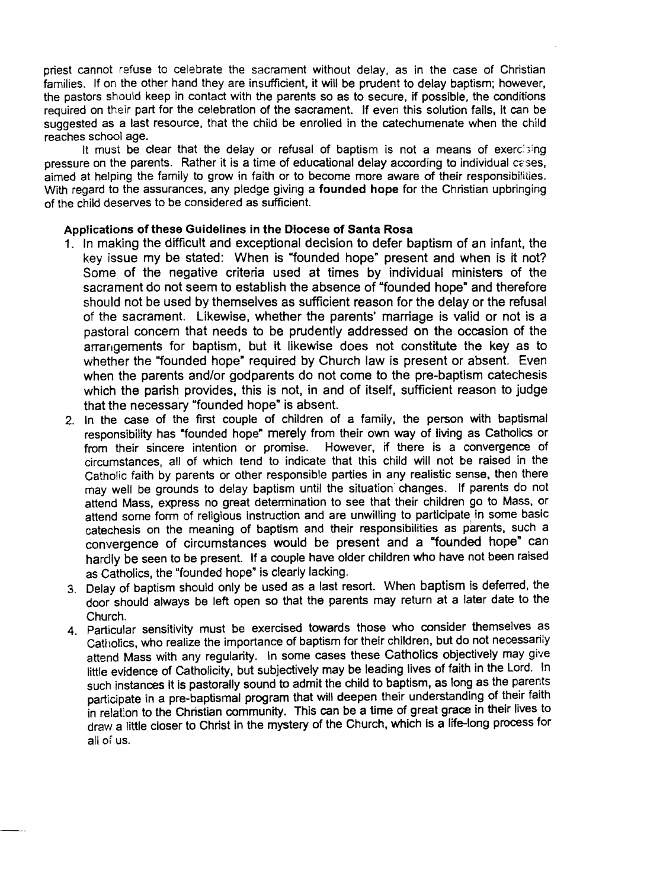priest cannot refuse to celebrate the sacrament without delay. as in the case of Christian families. If on the other hand they are insufficient, it will be prudent to delay baptism; however, the pastors should keep in contact with the parents so as to secure, if possible, the conditions required on their part for the celebration of the sacrament. If even this solution fails, it can be suggested as a last resource, that the child be enrolled in the catechumenate when the child reaches school age.

It must be clear that the delay or refusal of baptism is not a means of exercising pressure on the parents. Rather it is a time of educational delay according to individual cases, aimed at helping the family to grow in faith or to become more aware of their responsibilities. With regard to the assurances, any pledge giving a founded hope for the Christian upbringing of the child deserves to be considered as sufficient.

#### Applications of these Guidelines in the Diocese of Santa Rosa

- 1. In making the difficult and exceptional decision to defer baptism of an infant, the key issue my be stated: When is "founded hope" present and when is it not? Some of the negative criteria used at times by individual ministers of the sacrament do not seem to establish the absence of "founded hope" and therefore should not be used by themselves as sufficient reason for the delay or the refusal of the sacrament. Likewise, whether the parents' marriage is valid or not is a pastoral concern that needs to be prudently addressed on the occasion of the arrangements for baptism, but it likewise does not constitute the key as to whether the "founded hope" required by Church law is present or absent. Even when the parents and/or godparents do not come to the pre-baptism catechesis which the parish provides, this is not, in and of itself, sufficient reason to judge that the necessary "founded hope" is absent.
- 2. In the case of the first couple of children of a family, the person with baptismal responsibility has "founded hope" merely from their own way of living as Catholics or<br>from their sincere intention or promise. However, if there is a convergence of from their sincere intention or promise. circumstances, all of which tend to indicate that this child will not be raised in the Catholic faith by parents or other responsible parties in any realistic sense, then there may well be grounds to delay baptism until the situation' changes. If parents do not attend Mass, express no great determination to see that their children go to Mass, or attend some form of religious instruction and are unwilling to participate in some basic catechesis on the meaning of baptism and their responsibilities as parents, such a convergence of circumstances would be present and a "founded hope" can hardly be seen to be present. If a couple have older children who have not been raised as Catholics, the "founded hope" is clearly lacking.
- 3. Delay of baptism should only be used as a last resort. When baptism is deferred, the door should always be left open so that the parents may return at a later date to the Church.
- 4. Particular sensitivity must be exercised towards those who consider themselves as Catholics, who realize the importance of baptism for their children, but do not necessarily attend Mass with any regularity. In some cases these CathOlics objectively may give little evidence of Catholicity, but subjectively may be leading lives of faith in the Lord. In such instances it is pastorally sound to admit the child to baptism, as long as the parents participate in a pre-baptismal program that will deepen their understanding of their faith in relation to the Christian community. This can be a time of great grace in their lives to draw a little closer to Christ in the mystery of the Church, which is a life-long process for all of us.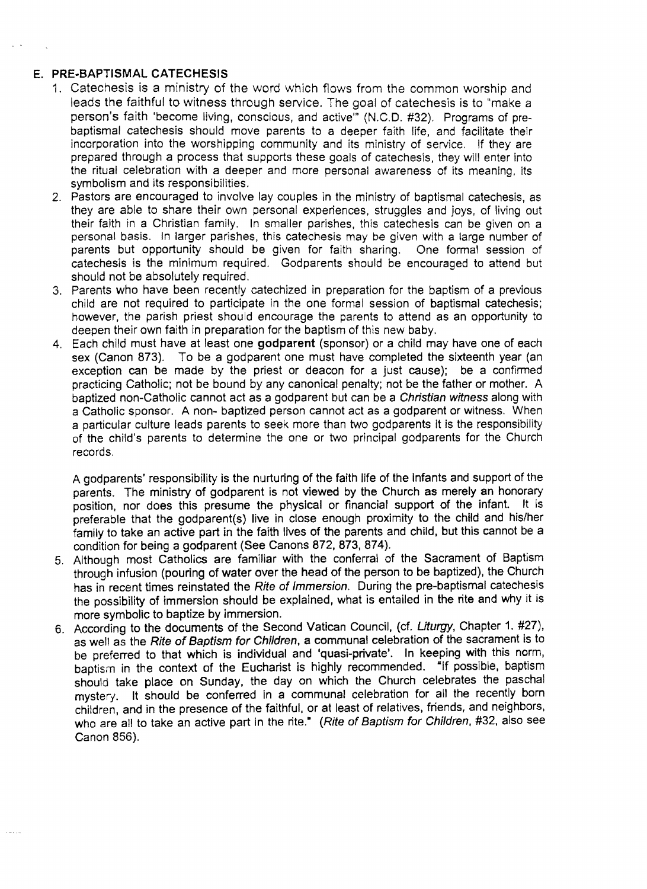### E. **PRE-BAPTISMAL CATECHESIS**

- 1. Catechesis is a ministry of the word which flows from the common worship and leads the faithful to witness through service. The goal of catechesis is to "make a person's faith 'become living, conscious, and active'" (N.C.D. #32). Programs of prebaptismal catechesis should move parents to a deeper faith life, and facilitate their incorporation into the worshipping community and its ministry of service. If they are prepared through a process that supports these goals of catechesis, they will enter into the ritual celebration with a deeper and more personal awareness of its meaning. its symbolism and its responsibilities.
- 2. Pastors are encouraged to involve lay couples in the ministry of baptismal catechesis, as they are able to share their own personal experiences. struggles and joys, of living out their faith in a Christian family. In smaller parishes, this catechesis can be given on a personal basis. In larger parishes, this catechesis may be given with a large number of parents but opportunity should be given for faith sharing. One formal session of catechesis is the minimum required. Godparents should be encouraged to attend but should not be absolutely required.
- 3. Parents who have been recently catechized in preparation for the baptism of a previous child are not required to participate in the one formal session of baptismal catechesis; however, the parish priest should encourage the parents to attend as an opportunity to deepen their own faith in preparation for the baptism of this new baby.
- 4. Each child must have at least one **godparent** (sponsor) or a child may have one of each sex (Canon 873). To be a godparent one must have completed the sixteenth year (an exception can be made by the priest or deacon for a just cause); be a confirmed practicing Catholic; not be bound by any canonical penalty; not be the father or mother. A baptized non-Catholic cannot act as a godparent but can be a Christian witness along with a Catholic sponsor. A non- baptized person cannot act as a godparent or witness. When a particular culture leads parents to seek more than two godparents It is the responsibility of the child's parents to determine the one or two principal godparents for the Church records.

A godparents' responsibility is the nurturing of the faith life of the infants and support of the parents. The ministry of godparent is not viewed by the Church as merely an honorary position, nor does this presume the physical or financial support of the Infant. It is preferable that the godparent(s) live in close enough proximity to the child and his/her family to take an active part in the faith lives of the parents and child, but this cannot be a condition for being a godparent (See Canons 872, 873, 874).

- 5. Although most Catholics are familiar with the conferral of the Sacrament of Baptism through infusion (pouring of water over the head of the person to be baptized), the Church has in recent times reinstated the Rite of Immersion. During the pre-baptismal catechesis the possibility of immersion should be explained, what is entailed in the rite and why it is more symbolic to baptize by immersion.
- 6. According to the documents of the Second Vatican Council, (cf. *uturgy.* Chapter 1. #27). as well as the Rite of Baptism for Children, a communal celebration of the sacrament is to be preferred to that which is individual and 'quasi-private', In keeping with this norm, baptism in the context of the Eucharist is highly recommended. "If possible, baptism should take place on Sunday, the day on which the Church celebrates the paschal mystery. It should be conferred in a communal celebration for all the recently born children, and in the presence of the faithful, or at least of relatives, friends, and neighbors, who are all to take an active part in the rite." (Rite of Baptism for Children, #32, also see Canon 856).